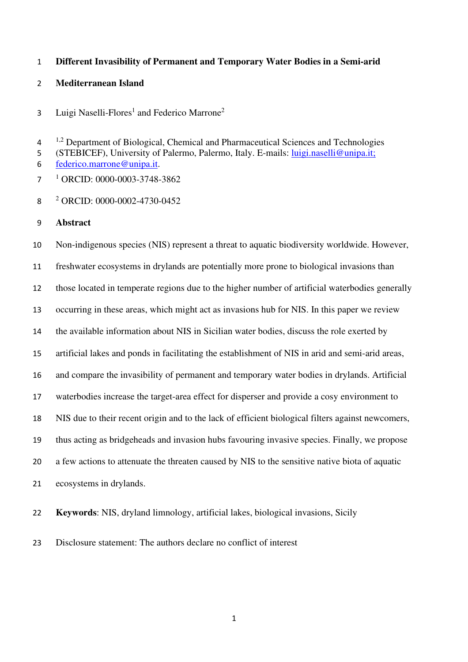# **Different Invasibility of Permanent and Temporary Water Bodies in a Semi-arid**

## **Mediterranean Island**

Luigi Naselli-Flores<sup>1</sup> and Federico Marrone<sup>2</sup> 

 $1^{1,2}$  Department of Biological, Chemical and Pharmaceutical Sciences and Technologies

(STEBICEF), University of Palermo, Palermo, Italy. E-mails: luigi.naselli@unipa.it;

federico.marrone@unipa.it.

**ORCID:** 0000-0003-3748-3862

2 ORCID: 0000-0002-4730-0452

**Abstract** 

Non-indigenous species (NIS) represent a threat to aquatic biodiversity worldwide. However, freshwater ecosystems in drylands are potentially more prone to biological invasions than those located in temperate regions due to the higher number of artificial waterbodies generally occurring in these areas, which might act as invasions hub for NIS. In this paper we review the available information about NIS in Sicilian water bodies, discuss the role exerted by artificial lakes and ponds in facilitating the establishment of NIS in arid and semi-arid areas, and compare the invasibility of permanent and temporary water bodies in drylands. Artificial waterbodies increase the target-area effect for disperser and provide a cosy environment to NIS due to their recent origin and to the lack of efficient biological filters against newcomers, thus acting as bridgeheads and invasion hubs favouring invasive species. Finally, we propose a few actions to attenuate the threaten caused by NIS to the sensitive native biota of aquatic ecosystems in drylands.

**Keywords**: NIS, dryland limnology, artificial lakes, biological invasions, Sicily

Disclosure statement: The authors declare no conflict of interest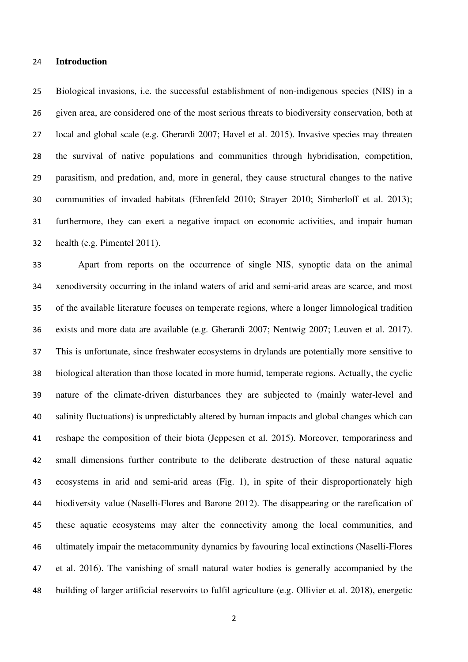#### **Introduction**

Biological invasions, i.e. the successful establishment of non-indigenous species (NIS) in a given area, are considered one of the most serious threats to biodiversity conservation, both at local and global scale (e.g. Gherardi 2007; Havel et al. 2015). Invasive species may threaten the survival of native populations and communities through hybridisation, competition, parasitism, and predation, and, more in general, they cause structural changes to the native communities of invaded habitats (Ehrenfeld 2010; Strayer 2010; Simberloff et al. 2013); furthermore, they can exert a negative impact on economic activities, and impair human health (e.g. Pimentel 2011).

Apart from reports on the occurrence of single NIS, synoptic data on the animal xenodiversity occurring in the inland waters of arid and semi-arid areas are scarce, and most of the available literature focuses on temperate regions, where a longer limnological tradition exists and more data are available (e.g. Gherardi 2007; Nentwig 2007; Leuven et al. 2017). This is unfortunate, since freshwater ecosystems in drylands are potentially more sensitive to biological alteration than those located in more humid, temperate regions. Actually, the cyclic nature of the climate-driven disturbances they are subjected to (mainly water-level and salinity fluctuations) is unpredictably altered by human impacts and global changes which can reshape the composition of their biota (Jeppesen et al. 2015). Moreover, temporariness and small dimensions further contribute to the deliberate destruction of these natural aquatic ecosystems in arid and semi-arid areas (Fig. 1), in spite of their disproportionately high biodiversity value (Naselli-Flores and Barone 2012). The disappearing or the rarefication of these aquatic ecosystems may alter the connectivity among the local communities, and ultimately impair the metacommunity dynamics by favouring local extinctions (Naselli-Flores et al. 2016). The vanishing of small natural water bodies is generally accompanied by the building of larger artificial reservoirs to fulfil agriculture (e.g. Ollivier et al. 2018), energetic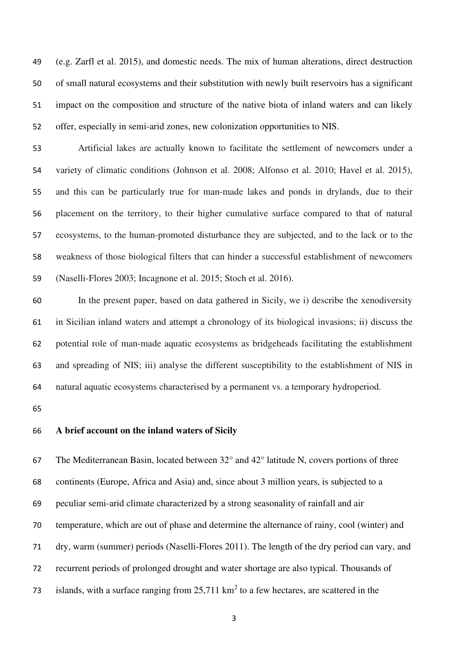(e.g. Zarfl et al. 2015), and domestic needs. The mix of human alterations, direct destruction of small natural ecosystems and their substitution with newly built reservoirs has a significant impact on the composition and structure of the native biota of inland waters and can likely offer, especially in semi-arid zones, new colonization opportunities to NIS.

Artificial lakes are actually known to facilitate the settlement of newcomers under a variety of climatic conditions (Johnson et al. 2008; Alfonso et al. 2010; Havel et al. 2015), and this can be particularly true for man-made lakes and ponds in drylands, due to their placement on the territory, to their higher cumulative surface compared to that of natural ecosystems, to the human-promoted disturbance they are subjected, and to the lack or to the weakness of those biological filters that can hinder a successful establishment of newcomers (Naselli-Flores 2003; Incagnone et al. 2015; Stoch et al. 2016).

In the present paper, based on data gathered in Sicily, we i) describe the xenodiversity in Sicilian inland waters and attempt a chronology of its biological invasions; ii) discuss the potential role of man-made aquatic ecosystems as bridgeheads facilitating the establishment and spreading of NIS; iii) analyse the different susceptibility to the establishment of NIS in natural aquatic ecosystems characterised by a permanent vs. a temporary hydroperiod.

## **A brief account on the inland waters of Sicily**

The Mediterranean Basin, located between 32° and 42° latitude N, covers portions of three continents (Europe, Africa and Asia) and, since about 3 million years, is subjected to a peculiar semi-arid climate characterized by a strong seasonality of rainfall and air temperature, which are out of phase and determine the alternance of rainy, cool (winter) and dry, warm (summer) periods (Naselli-Flores 2011). The length of the dry period can vary, and recurrent periods of prolonged drought and water shortage are also typical. Thousands of 73 islands, with a surface ranging from  $25,711 \text{ km}^2$  to a few hectares, are scattered in the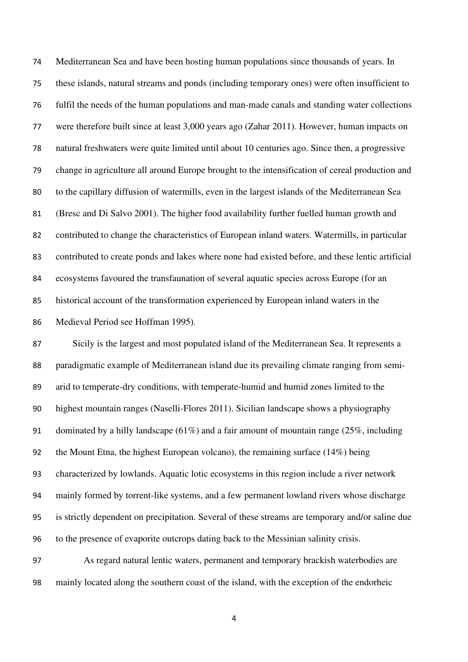Mediterranean Sea and have been hosting human populations since thousands of years. In these islands, natural streams and ponds (including temporary ones) were often insufficient to fulfil the needs of the human populations and man-made canals and standing water collections were therefore built since at least 3,000 years ago (Zahar 2011). However, human impacts on natural freshwaters were quite limited until about 10 centuries ago. Since then, a progressive change in agriculture all around Europe brought to the intensification of cereal production and to the capillary diffusion of watermills, even in the largest islands of the Mediterranean Sea (Bresc and Di Salvo 2001). The higher food availability further fuelled human growth and contributed to change the characteristics of European inland waters. Watermills, in particular contributed to create ponds and lakes where none had existed before, and these lentic artificial ecosystems favoured the transfaunation of several aquatic species across Europe (for an historical account of the transformation experienced by European inland waters in the Medieval Period see Hoffman 1995).

Sicily is the largest and most populated island of the Mediterranean Sea. It represents a paradigmatic example of Mediterranean island due its prevailing climate ranging from semi-arid to temperate-dry conditions, with temperate-humid and humid zones limited to the highest mountain ranges (Naselli-Flores 2011). Sicilian landscape shows a physiography dominated by a hilly landscape (61%) and a fair amount of mountain range (25%, including 92 the Mount Etna, the highest European volcano), the remaining surface  $(14\%)$  being characterized by lowlands. Aquatic lotic ecosystems in this region include a river network mainly formed by torrent-like systems, and a few permanent lowland rivers whose discharge is strictly dependent on precipitation. Several of these streams are temporary and/or saline due to the presence of evaporite outcrops dating back to the Messinian salinity crisis.

As regard natural lentic waters, permanent and temporary brackish waterbodies are mainly located along the southern coast of the island, with the exception of the endorheic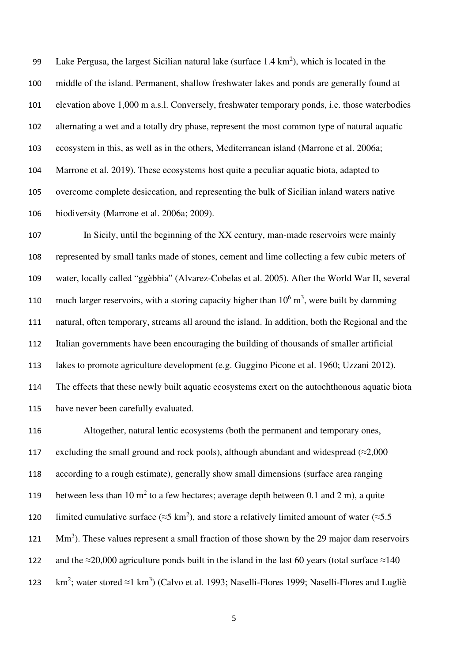99 Lake Pergusa, the largest Sicilian natural lake (surface  $1.4 \text{ km}^2$ ), which is located in the middle of the island. Permanent, shallow freshwater lakes and ponds are generally found at elevation above 1,000 m a.s.l. Conversely, freshwater temporary ponds, i.e. those waterbodies alternating a wet and a totally dry phase, represent the most common type of natural aquatic ecosystem in this, as well as in the others, Mediterranean island (Marrone et al. 2006a; Marrone et al. 2019). These ecosystems host quite a peculiar aquatic biota, adapted to overcome complete desiccation, and representing the bulk of Sicilian inland waters native biodiversity (Marrone et al. 2006a; 2009).

In Sicily, until the beginning of the XX century, man-made reservoirs were mainly represented by small tanks made of stones, cement and lime collecting a few cubic meters of water, locally called "ggèbbia" (Alvarez-Cobelas et al. 2005). After the World War II, several 110 much larger reservoirs, with a storing capacity higher than  $10^6$  m<sup>3</sup>, were built by damming natural, often temporary, streams all around the island. In addition, both the Regional and the Italian governments have been encouraging the building of thousands of smaller artificial lakes to promote agriculture development (e.g. Guggino Picone et al. 1960; Uzzani 2012). The effects that these newly built aquatic ecosystems exert on the autochthonous aquatic biota have never been carefully evaluated.

Altogether, natural lentic ecosystems (both the permanent and temporary ones, 117 excluding the small ground and rock pools), although abundant and widespread ( $\approx$ 2,000 according to a rough estimate), generally show small dimensions (surface area ranging 119 between less than 10  $m^2$  to a few hectares; average depth between 0.1 and 2 m), a quite 120 limited cumulative surface ( $\approx$ 5 km<sup>2</sup>), and store a relatively limited amount of water ( $\approx$ 5.5 121 Mm<sup>3</sup>). These values represent a small fraction of those shown by the 29 major dam reservoirs 122 and the ≈20,000 agriculture ponds built in the island in the last 60 years (total surface ≈140 123 km<sup>2</sup>; water stored ≈1 km<sup>3</sup>) (Calvo et al. 1993; Naselli-Flores 1999; Naselli-Flores and Lugliè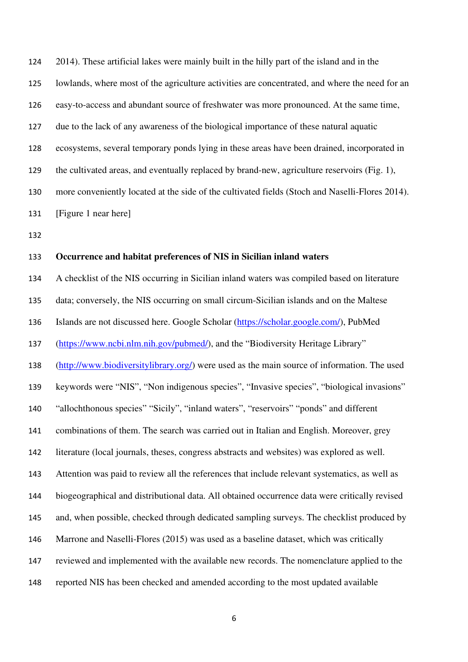2014). These artificial lakes were mainly built in the hilly part of the island and in the lowlands, where most of the agriculture activities are concentrated, and where the need for an easy-to-access and abundant source of freshwater was more pronounced. At the same time, due to the lack of any awareness of the biological importance of these natural aquatic ecosystems, several temporary ponds lying in these areas have been drained, incorporated in the cultivated areas, and eventually replaced by brand-new, agriculture reservoirs (Fig. 1), more conveniently located at the side of the cultivated fields (Stoch and Naselli-Flores 2014). [Figure 1 near here]

## **Occurrence and habitat preferences of NIS in Sicilian inland waters**

A checklist of the NIS occurring in Sicilian inland waters was compiled based on literature data; conversely, the NIS occurring on small circum-Sicilian islands and on the Maltese Islands are not discussed here. Google Scholar (https://scholar.google.com/), PubMed (https://www.ncbi.nlm.nih.gov/pubmed/), and the "Biodiversity Heritage Library" (http://www.biodiversitylibrary.org/) were used as the main source of information. The used keywords were "NIS", "Non indigenous species", "Invasive species", "biological invasions" "allochthonous species" "Sicily", "inland waters", "reservoirs" "ponds" and different combinations of them. The search was carried out in Italian and English. Moreover, grey literature (local journals, theses, congress abstracts and websites) was explored as well. Attention was paid to review all the references that include relevant systematics, as well as biogeographical and distributional data. All obtained occurrence data were critically revised and, when possible, checked through dedicated sampling surveys. The checklist produced by Marrone and Naselli-Flores (2015) was used as a baseline dataset, which was critically reviewed and implemented with the available new records. The nomenclature applied to the reported NIS has been checked and amended according to the most updated available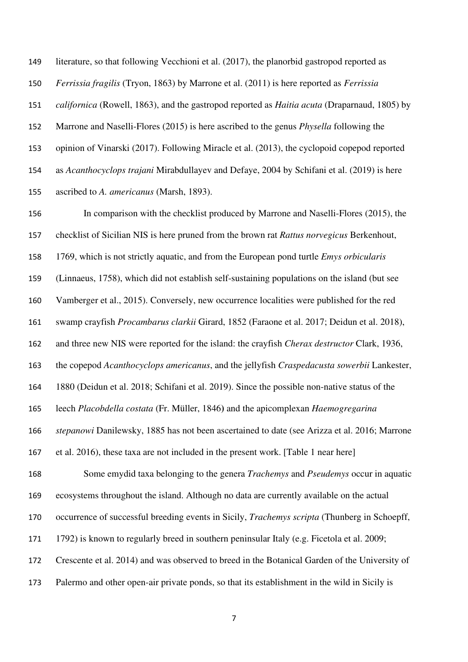literature, so that following Vecchioni et al. (2017), the planorbid gastropod reported as *Ferrissia fragilis* (Tryon, 1863) by Marrone et al. (2011) is here reported as *Ferrissia californica* (Rowell, 1863), and the gastropod reported as *Haitia acuta* (Draparnaud, 1805) by Marrone and Naselli-Flores (2015) is here ascribed to the genus *Physella* following the opinion of Vinarski (2017). Following Miracle et al. (2013), the cyclopoid copepod reported as *Acanthocyclops trajani* Mirabdullayev and Defaye, 2004 by Schifani et al. (2019) is here ascribed to *A. americanus* (Marsh, 1893).

In comparison with the checklist produced by Marrone and Naselli-Flores (2015), the checklist of Sicilian NIS is here pruned from the brown rat *Rattus norvegicus* Berkenhout, 1769, which is not strictly aquatic, and from the European pond turtle *Emys orbicularis*  (Linnaeus, 1758), which did not establish self-sustaining populations on the island (but see Vamberger et al., 2015). Conversely, new occurrence localities were published for the red swamp crayfish *Procambarus clarkii* Girard, 1852 (Faraone et al. 2017; Deidun et al. 2018), and three new NIS were reported for the island: the crayfish *Cherax destructor* Clark, 1936, the copepod *Acanthocyclops americanus*, and the jellyfish *Craspedacusta sowerbii* Lankester, 1880 (Deidun et al. 2018; Schifani et al. 2019). Since the possible non-native status of the leech *Placobdella costata* (Fr. Müller, 1846**)** and the apicomplexan *Haemogregarina stepanowi* Danilewsky, 1885 has not been ascertained to date (see Arizza et al. 2016; Marrone et al. 2016), these taxa are not included in the present work. [Table 1 near here] Some emydid taxa belonging to the genera *Trachemys* and *Pseudemys* occur in aquatic ecosystems throughout the island. Although no data are currently available on the actual occurrence of successful breeding events in Sicily, *Trachemys scripta* (Thunberg in Schoepff, 1792) is known to regularly breed in southern peninsular Italy (e.g. Ficetola et al. 2009; Crescente et al. 2014) and was observed to breed in the Botanical Garden of the University of Palermo and other open-air private ponds, so that its establishment in the wild in Sicily is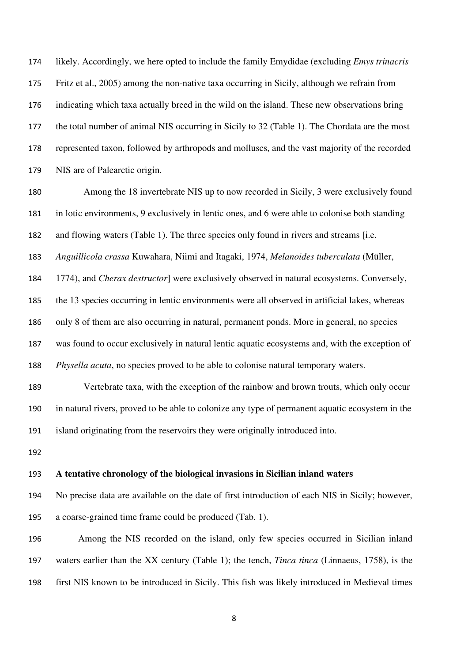likely. Accordingly, we here opted to include the family Emydidae (excluding *Emys trinacris*  Fritz et al., 2005) among the non-native taxa occurring in Sicily, although we refrain from indicating which taxa actually breed in the wild on the island. These new observations bring the total number of animal NIS occurring in Sicily to 32 (Table 1). The Chordata are the most represented taxon, followed by arthropods and molluscs, and the vast majority of the recorded NIS are of Palearctic origin.

Among the 18 invertebrate NIS up to now recorded in Sicily, 3 were exclusively found in lotic environments, 9 exclusively in lentic ones, and 6 were able to colonise both standing and flowing waters (Table 1). The three species only found in rivers and streams [i.e. *Anguillicola crassa* Kuwahara, Niimi and Itagaki, 1974, *Melanoides tuberculata* (Müller,

1774), and *Cherax destructor*] were exclusively observed in natural ecosystems. Conversely,

the 13 species occurring in lentic environments were all observed in artificial lakes, whereas

only 8 of them are also occurring in natural, permanent ponds. More in general, no species

was found to occur exclusively in natural lentic aquatic ecosystems and, with the exception of *Physella acuta*, no species proved to be able to colonise natural temporary waters.

Vertebrate taxa, with the exception of the rainbow and brown trouts, which only occur in natural rivers, proved to be able to colonize any type of permanent aquatic ecosystem in the island originating from the reservoirs they were originally introduced into.

## **A tentative chronology of the biological invasions in Sicilian inland waters**

No precise data are available on the date of first introduction of each NIS in Sicily; however, a coarse-grained time frame could be produced (Tab. 1).

Among the NIS recorded on the island, only few species occurred in Sicilian inland waters earlier than the XX century (Table 1); the tench, *Tinca tinca* (Linnaeus, 1758), is the first NIS known to be introduced in Sicily. This fish was likely introduced in Medieval times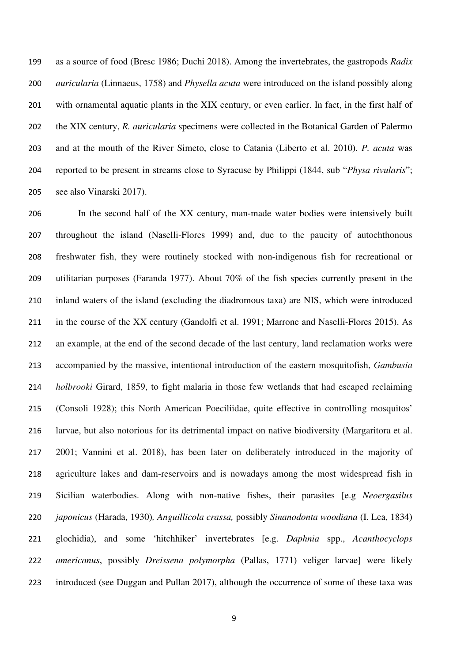as a source of food (Bresc 1986; Duchi 2018). Among the invertebrates, the gastropods *Radix auricularia* (Linnaeus, 1758) and *Physella acuta* were introduced on the island possibly along with ornamental aquatic plants in the XIX century, or even earlier. In fact, in the first half of the XIX century, *R. auricularia* specimens were collected in the Botanical Garden of Palermo and at the mouth of the River Simeto, close to Catania (Liberto et al. 2010). *P. acuta* was reported to be present in streams close to Syracuse by Philippi (1844, sub "*Physa rivularis*"; see also Vinarski 2017).

In the second half of the XX century, man-made water bodies were intensively built throughout the island (Naselli-Flores 1999) and, due to the paucity of autochthonous freshwater fish, they were routinely stocked with non-indigenous fish for recreational or utilitarian purposes (Faranda 1977). About 70% of the fish species currently present in the inland waters of the island (excluding the diadromous taxa) are NIS, which were introduced in the course of the XX century (Gandolfi et al. 1991; Marrone and Naselli-Flores 2015). As an example, at the end of the second decade of the last century, land reclamation works were accompanied by the massive, intentional introduction of the eastern mosquitofish, *Gambusia holbrooki* Girard, 1859, to fight malaria in those few wetlands that had escaped reclaiming (Consoli 1928); this North American Poeciliidae, quite effective in controlling mosquitos' larvae, but also notorious for its detrimental impact on native biodiversity (Margaritora et al. 2001; Vannini et al. 2018), has been later on deliberately introduced in the majority of agriculture lakes and dam-reservoirs and is nowadays among the most widespread fish in Sicilian waterbodies. Along with non-native fishes, their parasites [e.g *Neoergasilus japonicus* (Harada, 1930)*, Anguillicola crassa,* possibly *Sinanodonta woodiana* (I. Lea, 1834) glochidia), and some 'hitchhiker' invertebrates [e.g. *Daphnia* spp., *Acanthocyclops americanus*, possibly *Dreissena polymorpha* (Pallas, 1771) veliger larvae] were likely introduced (see Duggan and Pullan 2017), although the occurrence of some of these taxa was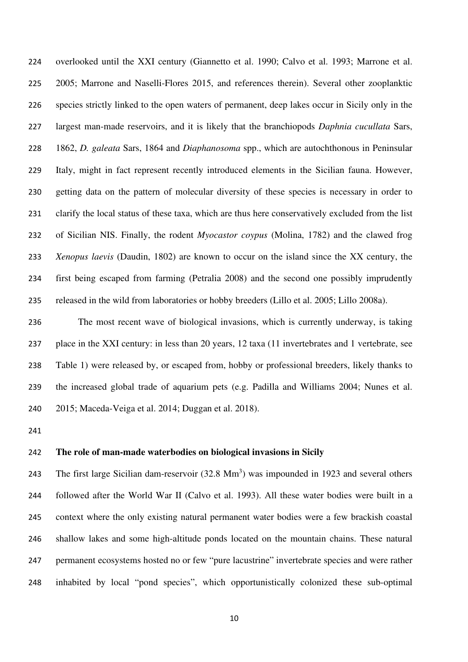overlooked until the XXI century (Giannetto et al. 1990; Calvo et al. 1993; Marrone et al. 2005; Marrone and Naselli-Flores 2015, and references therein). Several other zooplanktic species strictly linked to the open waters of permanent, deep lakes occur in Sicily only in the largest man-made reservoirs, and it is likely that the branchiopods *Daphnia cucullata* Sars, 1862, *D. galeata* Sars, 1864 and *Diaphanosoma* spp., which are autochthonous in Peninsular Italy, might in fact represent recently introduced elements in the Sicilian fauna. However, getting data on the pattern of molecular diversity of these species is necessary in order to clarify the local status of these taxa, which are thus here conservatively excluded from the list of Sicilian NIS. Finally, the rodent *Myocastor coypus* (Molina, 1782) and the clawed frog *Xenopus laevis* (Daudin, 1802) are known to occur on the island since the XX century, the first being escaped from farming (Petralia 2008) and the second one possibly imprudently released in the wild from laboratories or hobby breeders (Lillo et al. 2005; Lillo 2008a).

The most recent wave of biological invasions, which is currently underway, is taking place in the XXI century: in less than 20 years, 12 taxa (11 invertebrates and 1 vertebrate, see Table 1) were released by, or escaped from, hobby or professional breeders, likely thanks to the increased global trade of aquarium pets (e.g. Padilla and Williams 2004; Nunes et al. 2015; Maceda-Veiga et al. 2014; Duggan et al. 2018).

# **The role of man-made waterbodies on biological invasions in Sicily**

243 The first large Sicilian dam-reservoir  $(32.8 \text{ Mm}^3)$  was impounded in 1923 and several others followed after the World War II (Calvo et al. 1993). All these water bodies were built in a context where the only existing natural permanent water bodies were a few brackish coastal shallow lakes and some high-altitude ponds located on the mountain chains. These natural permanent ecosystems hosted no or few "pure lacustrine" invertebrate species and were rather inhabited by local "pond species", which opportunistically colonized these sub-optimal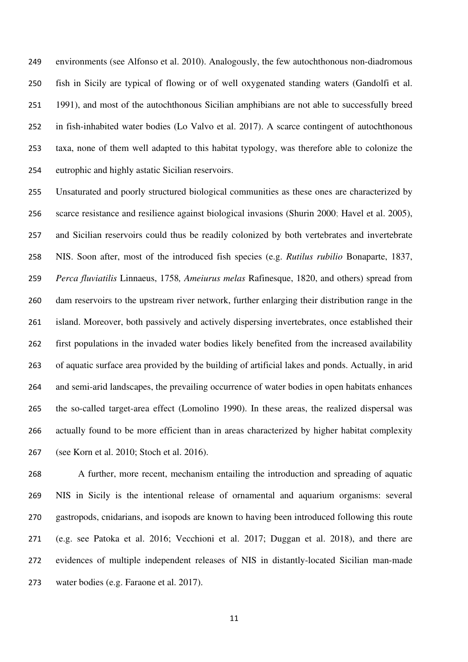environments (see Alfonso et al. 2010). Analogously, the few autochthonous non-diadromous fish in Sicily are typical of flowing or of well oxygenated standing waters (Gandolfi et al. 1991), and most of the autochthonous Sicilian amphibians are not able to successfully breed in fish-inhabited water bodies (Lo Valvo et al. 2017). A scarce contingent of autochthonous taxa, none of them well adapted to this habitat typology, was therefore able to colonize the eutrophic and highly astatic Sicilian reservoirs.

Unsaturated and poorly structured biological communities as these ones are characterized by scarce resistance and resilience against biological invasions (Shurin 2000; Havel et al. 2005), and Sicilian reservoirs could thus be readily colonized by both vertebrates and invertebrate NIS. Soon after, most of the introduced fish species (e.g. *Rutilus rubilio* Bonaparte, 1837, *Perca fluviatilis* Linnaeus, 1758*, Ameiurus melas* Rafinesque, 1820, and others) spread from dam reservoirs to the upstream river network, further enlarging their distribution range in the island. Moreover, both passively and actively dispersing invertebrates, once established their first populations in the invaded water bodies likely benefited from the increased availability of aquatic surface area provided by the building of artificial lakes and ponds. Actually, in arid and semi-arid landscapes, the prevailing occurrence of water bodies in open habitats enhances the so-called target-area effect (Lomolino 1990). In these areas, the realized dispersal was actually found to be more efficient than in areas characterized by higher habitat complexity (see Korn et al. 2010; Stoch et al. 2016).

A further, more recent, mechanism entailing the introduction and spreading of aquatic NIS in Sicily is the intentional release of ornamental and aquarium organisms: several gastropods, cnidarians, and isopods are known to having been introduced following this route (e.g. see Patoka et al. 2016; Vecchioni et al. 2017; Duggan et al. 2018), and there are evidences of multiple independent releases of NIS in distantly-located Sicilian man-made water bodies (e.g. Faraone et al. 2017).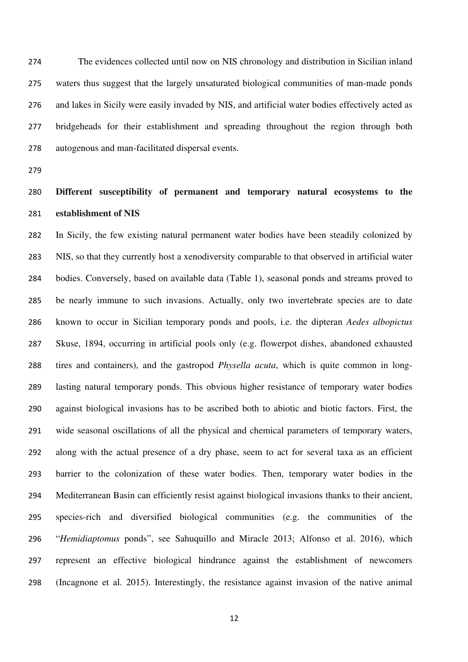The evidences collected until now on NIS chronology and distribution in Sicilian inland waters thus suggest that the largely unsaturated biological communities of man-made ponds and lakes in Sicily were easily invaded by NIS, and artificial water bodies effectively acted as bridgeheads for their establishment and spreading throughout the region through both autogenous and man-facilitated dispersal events.

# **Different susceptibility of permanent and temporary natural ecosystems to the establishment of NIS**

In Sicily, the few existing natural permanent water bodies have been steadily colonized by NIS, so that they currently host a xenodiversity comparable to that observed in artificial water bodies. Conversely, based on available data (Table 1), seasonal ponds and streams proved to be nearly immune to such invasions. Actually, only two invertebrate species are to date known to occur in Sicilian temporary ponds and pools, i.e. the dipteran *Aedes albopictus*  Skuse, 1894, occurring in artificial pools only (e.g. flowerpot dishes, abandoned exhausted tires and containers), and the gastropod *Physella acuta*, which is quite common in long-lasting natural temporary ponds. This obvious higher resistance of temporary water bodies against biological invasions has to be ascribed both to abiotic and biotic factors. First, the wide seasonal oscillations of all the physical and chemical parameters of temporary waters, along with the actual presence of a dry phase, seem to act for several taxa as an efficient barrier to the colonization of these water bodies. Then, temporary water bodies in the Mediterranean Basin can efficiently resist against biological invasions thanks to their ancient, species-rich and diversified biological communities (e.g. the communities of the "*Hemidiaptomus* ponds", see Sahuquillo and Miracle 2013; Alfonso et al. 2016), which represent an effective biological hindrance against the establishment of newcomers (Incagnone et al. 2015). Interestingly, the resistance against invasion of the native animal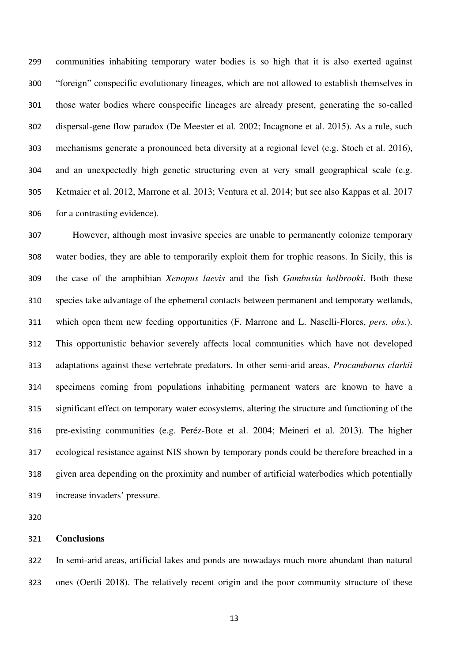communities inhabiting temporary water bodies is so high that it is also exerted against "foreign" conspecific evolutionary lineages, which are not allowed to establish themselves in those water bodies where conspecific lineages are already present, generating the so-called dispersal-gene flow paradox (De Meester et al. 2002; Incagnone et al. 2015). As a rule, such mechanisms generate a pronounced beta diversity at a regional level (e.g. Stoch et al. 2016), and an unexpectedly high genetic structuring even at very small geographical scale (e.g. Ketmaier et al. 2012, Marrone et al. 2013; Ventura et al. 2014; but see also Kappas et al. 2017 for a contrasting evidence).

However, although most invasive species are unable to permanently colonize temporary water bodies, they are able to temporarily exploit them for trophic reasons. In Sicily, this is the case of the amphibian *Xenopus laevis* and the fish *Gambusia holbrooki*. Both these species take advantage of the ephemeral contacts between permanent and temporary wetlands, which open them new feeding opportunities (F. Marrone and L. Naselli-Flores, *pers. obs.*). This opportunistic behavior severely affects local communities which have not developed adaptations against these vertebrate predators. In other semi-arid areas, *Procambarus clarkii* specimens coming from populations inhabiting permanent waters are known to have a significant effect on temporary water ecosystems, altering the structure and functioning of the pre-existing communities (e.g. Peréz-Bote et al. 2004; Meineri et al. 2013). The higher ecological resistance against NIS shown by temporary ponds could be therefore breached in a given area depending on the proximity and number of artificial waterbodies which potentially increase invaders' pressure.

## **Conclusions**

In semi-arid areas, artificial lakes and ponds are nowadays much more abundant than natural ones (Oertli 2018). The relatively recent origin and the poor community structure of these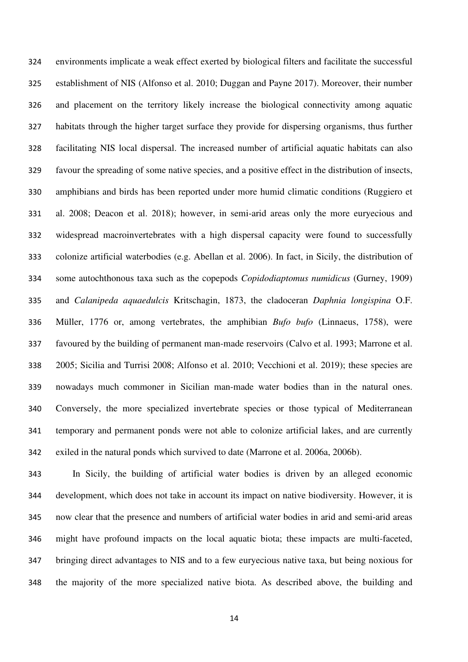environments implicate a weak effect exerted by biological filters and facilitate the successful establishment of NIS (Alfonso et al. 2010; Duggan and Payne 2017). Moreover, their number and placement on the territory likely increase the biological connectivity among aquatic habitats through the higher target surface they provide for dispersing organisms, thus further facilitating NIS local dispersal. The increased number of artificial aquatic habitats can also favour the spreading of some native species, and a positive effect in the distribution of insects, amphibians and birds has been reported under more humid climatic conditions (Ruggiero et al. 2008; Deacon et al. 2018); however, in semi-arid areas only the more euryecious and widespread macroinvertebrates with a high dispersal capacity were found to successfully colonize artificial waterbodies (e.g. Abellan et al. 2006). In fact, in Sicily, the distribution of some autochthonous taxa such as the copepods *Copidodiaptomus numidicus* (Gurney, 1909) and *Calanipeda aquaedulcis* Kritschagin, 1873, the cladoceran *Daphnia longispina* O.F. Müller, 1776 or, among vertebrates, the amphibian *Bufo bufo* (Linnaeus, 1758), were favoured by the building of permanent man-made reservoirs (Calvo et al. 1993; Marrone et al. 2005; Sicilia and Turrisi 2008; Alfonso et al. 2010; Vecchioni et al. 2019); these species are nowadays much commoner in Sicilian man-made water bodies than in the natural ones. Conversely, the more specialized invertebrate species or those typical of Mediterranean temporary and permanent ponds were not able to colonize artificial lakes, and are currently exiled in the natural ponds which survived to date (Marrone et al. 2006a, 2006b).

In Sicily, the building of artificial water bodies is driven by an alleged economic development, which does not take in account its impact on native biodiversity. However, it is now clear that the presence and numbers of artificial water bodies in arid and semi-arid areas might have profound impacts on the local aquatic biota; these impacts are multi-faceted, bringing direct advantages to NIS and to a few euryecious native taxa, but being noxious for the majority of the more specialized native biota. As described above, the building and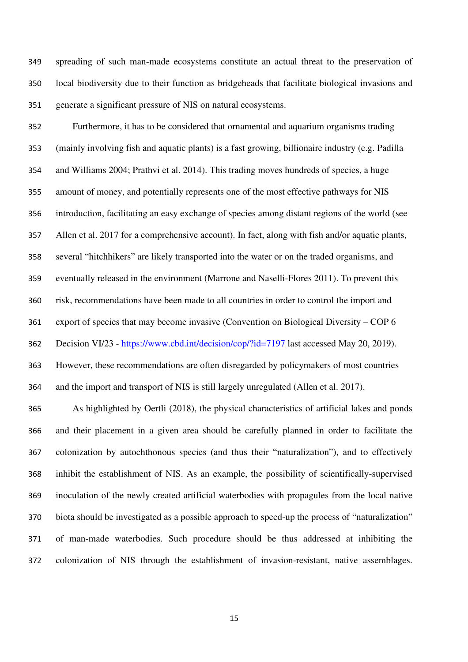spreading of such man-made ecosystems constitute an actual threat to the preservation of local biodiversity due to their function as bridgeheads that facilitate biological invasions and generate a significant pressure of NIS on natural ecosystems.

Furthermore, it has to be considered that ornamental and aquarium organisms trading (mainly involving fish and aquatic plants) is a fast growing, billionaire industry (e.g. Padilla and Williams 2004; Prathvi et al. 2014). This trading moves hundreds of species, a huge amount of money, and potentially represents one of the most effective pathways for NIS introduction, facilitating an easy exchange of species among distant regions of the world (see Allen et al. 2017 for a comprehensive account). In fact, along with fish and/or aquatic plants, several "hitchhikers" are likely transported into the water or on the traded organisms, and eventually released in the environment (Marrone and Naselli-Flores 2011). To prevent this risk, recommendations have been made to all countries in order to control the import and export of species that may become invasive (Convention on Biological Diversity – COP 6 Decision VI/23 - https://www.cbd.int/decision/cop/?id=7197 last accessed May 20, 2019). However, these recommendations are often disregarded by policymakers of most countries and the import and transport of NIS is still largely unregulated (Allen et al. 2017).

As highlighted by Oertli (2018), the physical characteristics of artificial lakes and ponds and their placement in a given area should be carefully planned in order to facilitate the colonization by autochthonous species (and thus their "naturalization"), and to effectively inhibit the establishment of NIS. As an example, the possibility of scientifically-supervised inoculation of the newly created artificial waterbodies with propagules from the local native biota should be investigated as a possible approach to speed-up the process of "naturalization" of man-made waterbodies. Such procedure should be thus addressed at inhibiting the colonization of NIS through the establishment of invasion-resistant, native assemblages.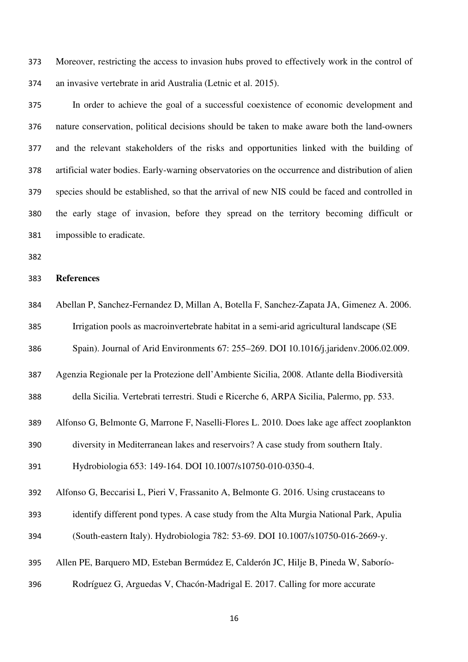Moreover, restricting the access to invasion hubs proved to effectively work in the control of an invasive vertebrate in arid Australia (Letnic et al. 2015).

In order to achieve the goal of a successful coexistence of economic development and nature conservation, political decisions should be taken to make aware both the land-owners and the relevant stakeholders of the risks and opportunities linked with the building of artificial water bodies. Early-warning observatories on the occurrence and distribution of alien species should be established, so that the arrival of new NIS could be faced and controlled in the early stage of invasion, before they spread on the territory becoming difficult or impossible to eradicate.

#### **References**

|  | 384 |  | Abellan P, Sanchez-Fernandez D, Millan A, Botella F, Sanchez-Zapata JA, Gimenez A. 2006. |
|--|-----|--|------------------------------------------------------------------------------------------|
|--|-----|--|------------------------------------------------------------------------------------------|

- Irrigation pools as macroinvertebrate habitat in a semi‐arid agricultural landscape (SE
- Spain). Journal of Arid Environments 67: 255–269. DOI 10.1016/j.jaridenv.2006.02.009.

Agenzia Regionale per la Protezione dell'Ambiente Sicilia, 2008. Atlante della Biodiversità

della Sicilia. Vertebrati terrestri. Studi e Ricerche 6, ARPA Sicilia, Palermo, pp. 533.

Alfonso G, Belmonte G, Marrone F, Naselli-Flores L. 2010. Does lake age affect zooplankton

diversity in Mediterranean lakes and reservoirs? A case study from southern Italy.

Hydrobiologia 653: 149-164. DOI 10.1007/s10750-010-0350-4.

Alfonso G, Beccarisi L, Pieri V, Frassanito A, Belmonte G. 2016. Using crustaceans to

- identify different pond types. A case study from the Alta Murgia National Park, Apulia (South-eastern Italy). Hydrobiologia 782: 53-69. DOI 10.1007/s10750-016-2669-y.
- Allen PE, Barquero MD, Esteban Bermúdez E, Calderón JC, Hilje B, Pineda W, Saborío-
- Rodríguez G, Arguedas V, Chacón-Madrigal E. 2017. Calling for more accurate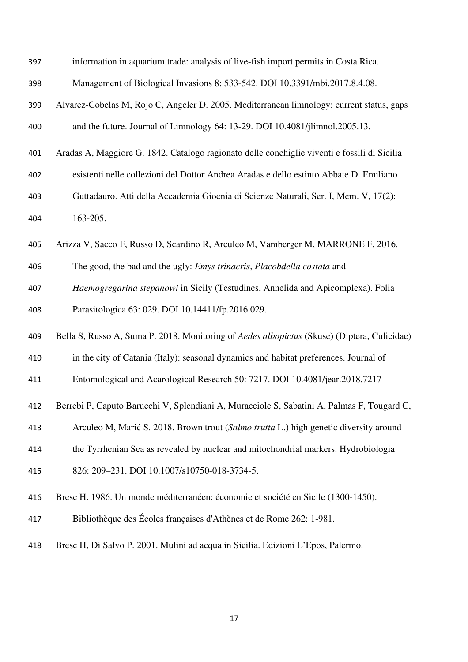| 397 | information in aquarium trade: analysis of live-fish import permits in Costa Rica.           |
|-----|----------------------------------------------------------------------------------------------|
| 398 | Management of Biological Invasions 8: 533-542. DOI 10.3391/mbi.2017.8.4.08.                  |
| 399 | Alvarez-Cobelas M, Rojo C, Angeler D. 2005. Mediterranean limnology: current status, gaps    |
| 400 | and the future. Journal of Limnology 64: 13-29. DOI 10.4081/jlimnol.2005.13.                 |
| 401 | Aradas A, Maggiore G. 1842. Catalogo ragionato delle conchiglie viventi e fossili di Sicilia |
| 402 | esistenti nelle collezioni del Dottor Andrea Aradas e dello estinto Abbate D. Emiliano       |
| 403 | Guttadauro. Atti della Accademia Gioenia di Scienze Naturali, Ser. I, Mem. V, 17(2):         |
| 404 | 163-205.                                                                                     |
| 405 | Arizza V, Sacco F, Russo D, Scardino R, Arculeo M, Vamberger M, MARRONE F. 2016.             |
| 406 | The good, the bad and the ugly: <i>Emys trinacris</i> , <i>Placobdella costata</i> and       |
| 407 | Haemogregarina stepanowi in Sicily (Testudines, Annelida and Apicomplexa). Folia             |
| 408 | Parasitologica 63: 029. DOI 10.14411/fp.2016.029.                                            |
|     |                                                                                              |
| 409 | Bella S, Russo A, Suma P. 2018. Monitoring of Aedes albopictus (Skuse) (Diptera, Culicidae)  |
| 410 | in the city of Catania (Italy): seasonal dynamics and habitat preferences. Journal of        |
| 411 | Entomological and Acarological Research 50: 7217. DOI 10.4081/jear.2018.7217                 |
| 412 | Berrebi P, Caputo Barucchi V, Splendiani A, Muracciole S, Sabatini A, Palmas F, Tougard C,   |
| 413 | Arculeo M, Marić S. 2018. Brown trout (Salmo trutta L.) high genetic diversity around        |
| 414 | the Tyrrhenian Sea as revealed by nuclear and mitochondrial markers. Hydrobiologia           |
| 415 | 826: 209-231. DOI 10.1007/s10750-018-3734-5.                                                 |
| 416 | Bresc H. 1986. Un monde méditerranéen: économie et société en Sicile (1300-1450).            |
| 417 | Bibliothèque des Écoles françaises d'Athènes et de Rome 262: 1-981.                          |
| 418 | Bresc H, Di Salvo P. 2001. Mulini ad acqua in Sicilia. Edizioni L'Epos, Palermo.             |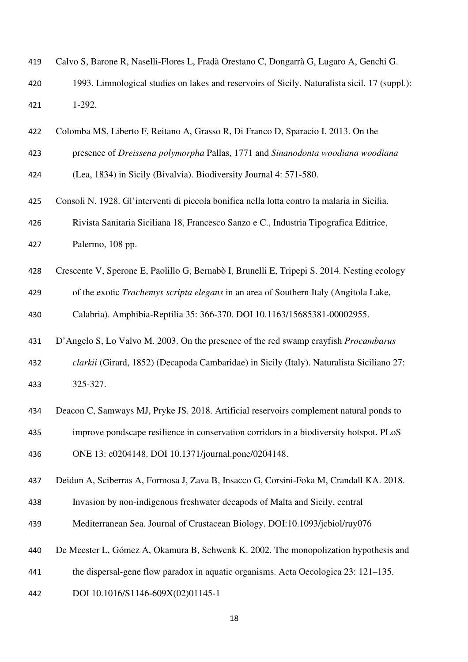| 419 | Calvo S, Barone R, Naselli-Flores L, Fradà Orestano C, Dongarrà G, Lugaro A, Genchi G.        |
|-----|-----------------------------------------------------------------------------------------------|
| 420 | 1993. Limnological studies on lakes and reservoirs of Sicily. Naturalista sicil. 17 (suppl.): |
| 421 | 1-292.                                                                                        |
| 422 | Colomba MS, Liberto F, Reitano A, Grasso R, Di Franco D, Sparacio I. 2013. On the             |
| 423 | presence of Dreissena polymorpha Pallas, 1771 and Sinanodonta woodiana woodiana               |
| 424 | (Lea, 1834) in Sicily (Bivalvia). Biodiversity Journal 4: 571-580.                            |
| 425 | Consoli N. 1928. Gl'interventi di piccola bonifica nella lotta contro la malaria in Sicilia.  |
| 426 | Rivista Sanitaria Siciliana 18, Francesco Sanzo e C., Industria Tipografica Editrice,         |
| 427 | Palermo, 108 pp.                                                                              |
| 428 | Crescente V, Sperone E, Paolillo G, Bernabò I, Brunelli E, Tripepi S. 2014. Nesting ecology   |
| 429 | of the exotic <i>Trachemys scripta elegans</i> in an area of Southern Italy (Angitola Lake,   |
| 430 | Calabria). Amphibia-Reptilia 35: 366-370. DOI 10.1163/15685381-00002955.                      |
| 431 | D'Angelo S, Lo Valvo M. 2003. On the presence of the red swamp crayfish <i>Procambarus</i>    |
| 432 | clarkii (Girard, 1852) (Decapoda Cambaridae) in Sicily (Italy). Naturalista Siciliano 27:     |
| 433 | 325-327.                                                                                      |
|     |                                                                                               |
| 434 | Deacon C, Samways MJ, Pryke JS. 2018. Artificial reservoirs complement natural ponds to       |
| 435 | improve pondscape resilience in conservation corridors in a biodiversity hotspot. PLoS        |
| 436 | ONE 13: e0204148. DOI 10.1371/journal.pone/0204148.                                           |
| 437 | Deidun A, Sciberras A, Formosa J, Zava B, Insacco G, Corsini-Foka M, Crandall KA. 2018.       |
| 438 | Invasion by non-indigenous freshwater decapods of Malta and Sicily, central                   |
| 439 | Mediterranean Sea. Journal of Crustacean Biology. DOI:10.1093/jcbiol/ruy076                   |
| 440 | De Meester L, Gómez A, Okamura B, Schwenk K. 2002. The monopolization hypothesis and          |
| 441 | the dispersal-gene flow paradox in aquatic organisms. Acta Oecologica 23: 121–135.            |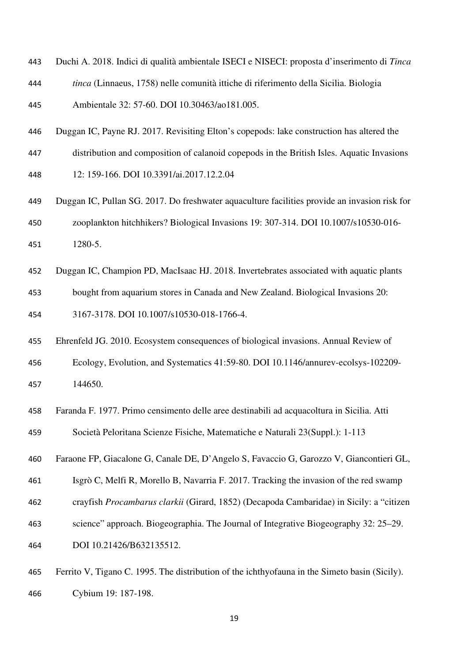- Duchi A. 2018. Indici di qualità ambientale ISECI e NISECI: proposta d'inserimento di *Tinca*
- *tinca* (Linnaeus, 1758) nelle comunità ittiche di riferimento della Sicilia. Biologia

Ambientale 32: 57-60. DOI 10.30463/ao181.005.

- Duggan IC, Payne RJ. 2017. Revisiting Elton's copepods: lake construction has altered the
- distribution and composition of calanoid copepods in the British Isles. Aquatic Invasions

12: 159-166. DOI 10.3391/ai.2017.12.2.04

- Duggan IC, Pullan SG. 2017. Do freshwater aquaculture facilities provide an invasion risk for zooplankton hitchhikers? Biological Invasions 19: 307-314. DOI 10.1007/s10530-016- 1280-5.
- Duggan IC, Champion PD, MacIsaac HJ. 2018. Invertebrates associated with aquatic plants bought from aquarium stores in Canada and New Zealand. Biological Invasions 20: 3167-3178. DOI 10.1007/s10530-018-1766-4.
- Ehrenfeld JG. 2010. Ecosystem consequences of biological invasions. Annual Review of
- Ecology, Evolution, and Systematics 41:59-80. DOI 10.1146/annurev-ecolsys-102209- 144650.
- Faranda F. 1977. Primo censimento delle aree destinabili ad acquacoltura in Sicilia. Atti Società Peloritana Scienze Fisiche, Matematiche e Naturali 23(Suppl.): 1-113
- Faraone FP, Giacalone G, Canale DE, D'Angelo S, Favaccio G, Garozzo V, Giancontieri GL,
- Isgrò C, Melfi R, Morello B, Navarria F. 2017. Tracking the invasion of the red swamp
- crayfish *Procambarus clarkii* (Girard, 1852) (Decapoda Cambaridae) in Sicily: a "citizen
- science" approach. Biogeographia. The Journal of Integrative Biogeography 32: 25–29.
- DOI 10.21426/B632135512.
- Ferrito V, Tigano C. 1995. The distribution of the ichthyofauna in the Simeto basin (Sicily). Cybium 19: 187-198.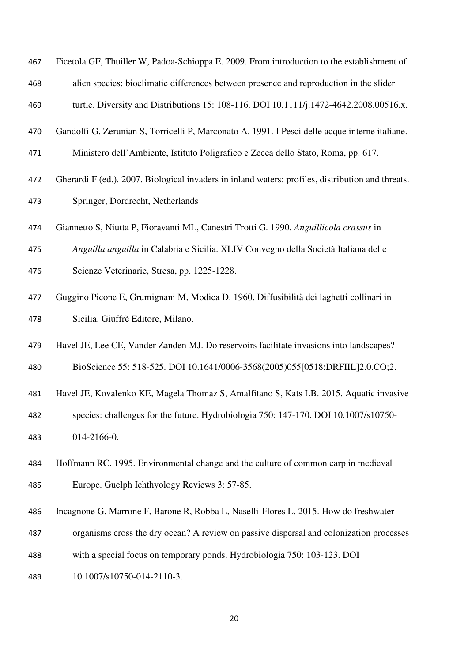- Ficetola GF, Thuiller W, Padoa-Schioppa E. 2009. From introduction to the establishment of alien species: bioclimatic differences between presence and reproduction in the slider
- turtle. Diversity and Distributions 15: 108-116. DOI 10.1111/j.1472-4642.2008.00516.x.
- Gandolfi G, Zerunian S, Torricelli P, Marconato A. 1991. I Pesci delle acque interne italiane.
- Ministero dell'Ambiente, Istituto Poligrafico e Zecca dello Stato, Roma, pp. 617.
- Gherardi F (ed.). 2007. Biological invaders in inland waters: profiles, distribution and threats. Springer, Dordrecht, Netherlands
- Giannetto S, Niutta P, Fioravanti ML, Canestri Trotti G. 1990. *Anguillicola crassus* in
- *Anguilla anguilla* in Calabria e Sicilia. XLIV Convegno della Società Italiana delle
- Scienze Veterinarie, Stresa, pp. 1225-1228.
- Guggino Picone E, Grumignani M, Modica D. 1960. Diffusibilità dei laghetti collinari in Sicilia. Giuffrè Editore, Milano.
- Havel JE, Lee CE, Vander Zanden MJ. Do reservoirs facilitate invasions into landscapes?
- BioScience 55: 518-525. DOI 10.1641/0006-3568(2005)055[0518:DRFIIL]2.0.CO;2.
- Havel JE, Kovalenko KE, Magela Thomaz S, Amalfitano S, Kats LB. 2015. Aquatic invasive
- species: challenges for the future. Hydrobiologia 750: 147-170. DOI 10.1007/s10750- 014-2166-0.
- Hoffmann RC. 1995. Environmental change and the culture of common carp in medieval Europe. Guelph Ichthyology Reviews 3: 57-85.
- Incagnone G, Marrone F, Barone R, Robba L, Naselli-Flores L. 2015. How do freshwater
- organisms cross the dry ocean? A review on passive dispersal and colonization processes
- with a special focus on temporary ponds. Hydrobiologia 750: 103-123. DOI
- 10.1007/s10750-014-2110-3.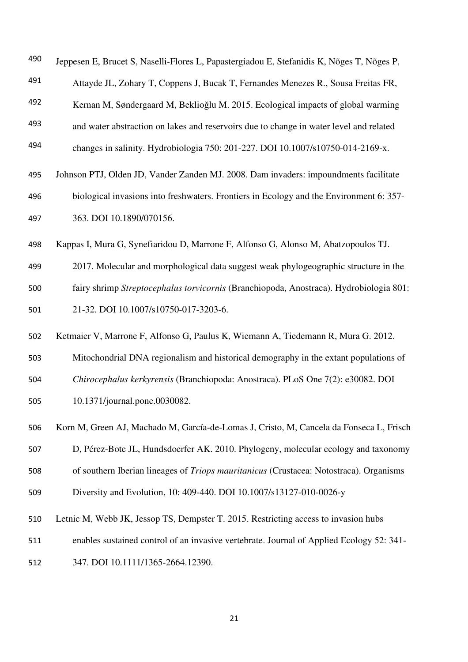| 490 | Jeppesen E, Brucet S, Naselli-Flores L, Papastergiadou E, Stefanidis K, Nõges T, Nõges P,     |
|-----|-----------------------------------------------------------------------------------------------|
| 491 | Attayde JL, Zohary T, Coppens J, Bucak T, Fernandes Menezes R., Sousa Freitas FR,             |
| 492 | Kernan M, Søndergaard M, Beklioğlu M. 2015. Ecological impacts of global warming              |
| 493 | and water abstraction on lakes and reservoirs due to change in water level and related        |
| 494 | changes in salinity. Hydrobiologia 750: 201-227. DOI 10.1007/s10750-014-2169-x.               |
| 495 | Johnson PTJ, Olden JD, Vander Zanden MJ. 2008. Dam invaders: impoundments facilitate          |
| 496 | biological invasions into freshwaters. Frontiers in Ecology and the Environment 6: 357-       |
| 497 | 363. DOI 10.1890/070156.                                                                      |
| 498 | Kappas I, Mura G, Synefiaridou D, Marrone F, Alfonso G, Alonso M, Abatzopoulos TJ.            |
| 499 | 2017. Molecular and morphological data suggest weak phylogeographic structure in the          |
| 500 | fairy shrimp Streptocephalus torvicornis (Branchiopoda, Anostraca). Hydrobiologia 801:        |
| 501 | 21-32. DOI 10.1007/s10750-017-3203-6.                                                         |
| 502 | Ketmaier V, Marrone F, Alfonso G, Paulus K, Wiemann A, Tiedemann R, Mura G. 2012.             |
| 503 | Mitochondrial DNA regionalism and historical demography in the extant populations of          |
| 504 | Chirocephalus kerkyrensis (Branchiopoda: Anostraca). PLoS One 7(2): e30082. DOI               |
| 505 | 10.1371/journal.pone.0030082.                                                                 |
| 506 | Korn M, Green AJ, Machado M, García-de-Lomas J, Cristo, M, Cancela da Fonseca L, Frisch       |
| 507 | D, Pérez-Bote JL, Hundsdoerfer AK. 2010. Phylogeny, molecular ecology and taxonomy            |
| 508 | of southern Iberian lineages of <i>Triops mauritanicus</i> (Crustacea: Notostraca). Organisms |
| 509 | Diversity and Evolution, 10: 409-440. DOI 10.1007/s13127-010-0026-y                           |
| 510 | Letnic M, Webb JK, Jessop TS, Dempster T. 2015. Restricting access to invasion hubs           |
| 511 | enables sustained control of an invasive vertebrate. Journal of Applied Ecology 52: 341-      |
| 512 | 347. DOI 10.1111/1365-2664.12390.                                                             |
|     |                                                                                               |
|     |                                                                                               |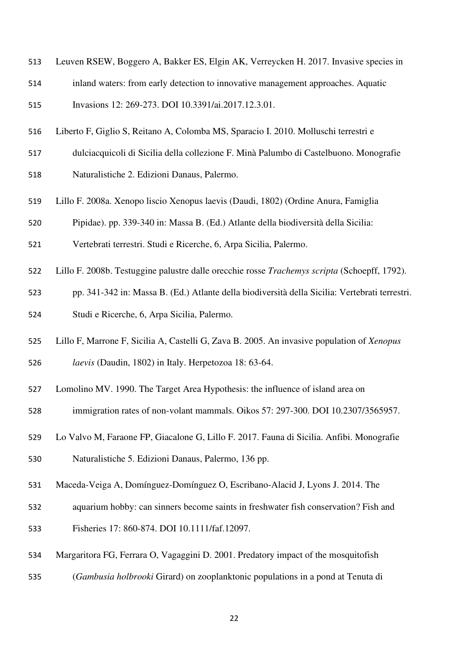- Leuven RSEW, Boggero A, Bakker ES, Elgin AK, Verreycken H. 2017. Invasive species in
- inland waters: from early detection to innovative management approaches. Aquatic

Invasions 12: 269-273. DOI 10.3391/ai.2017.12.3.01.

- Liberto F, Giglio S, Reitano A, Colomba MS, Sparacio I. 2010. Molluschi terrestri e
- dulciacquicoli di Sicilia della collezione F. Minà Palumbo di Castelbuono. Monografie
- Naturalistiche 2. Edizioni Danaus, Palermo.
- Lillo F. 2008a. Xenopo liscio Xenopus laevis (Daudi, 1802) (Ordine Anura, Famiglia
- Pipidae). pp. 339-340 in: Massa B. (Ed.) Atlante della biodiversità della Sicilia:
- Vertebrati terrestri. Studi e Ricerche, 6, Arpa Sicilia, Palermo.
- Lillo F. 2008b. Testuggine palustre dalle orecchie rosse *Trachemys scripta* (Schoepff, 1792).
- pp. 341-342 in: Massa B. (Ed.) Atlante della biodiversità della Sicilia: Vertebrati terrestri.
- Studi e Ricerche, 6, Arpa Sicilia, Palermo.
- Lillo F, Marrone F, Sicilia A, Castelli G, Zava B. 2005. An invasive population of *Xenopus*
- *laevis* (Daudin, 1802) in Italy. Herpetozoa 18: 63-64.
- Lomolino MV. 1990. The Target Area Hypothesis: the influence of island area on
- immigration rates of non-volant mammals. Oikos 57: 297-300. DOI 10.2307/3565957.
- Lo Valvo M, Faraone FP, Giacalone G, Lillo F. 2017. Fauna di Sicilia. Anfibi. Monografie Naturalistiche 5. Edizioni Danaus, Palermo, 136 pp.
- Maceda-Veiga A, Domínguez-Domínguez O, Escribano-Alacid J, Lyons J. 2014. The
- aquarium hobby: can sinners become saints in freshwater fish conservation? Fish and
- Fisheries 17: 860-874. DOI 10.1111/faf.12097.
- Margaritora FG, Ferrara O, Vagaggini D. 2001. Predatory impact of the mosquitofish
- (*Gambusia holbrooki* Girard) on zooplanktonic populations in a pond at Tenuta di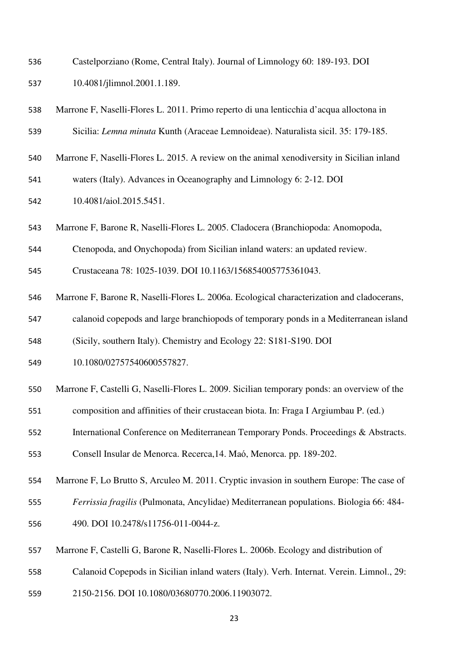- Castelporziano (Rome, Central Italy). Journal of Limnology 60: 189-193. DOI
- 10.4081/jlimnol.2001.1.189.
- Marrone F, Naselli-Flores L. 2011. Primo reperto di una lenticchia d'acqua alloctona in Sicilia: *Lemna minuta* Kunth (Araceae Lemnoideae). Naturalista sicil. 35: 179-185.
- Marrone F, Naselli-Flores L. 2015. A review on the animal xenodiversity in Sicilian inland
- waters (Italy). Advances in Oceanography and Limnology 6: 2-12. DOI

10.4081/aiol.2015.5451.

- Marrone F, Barone R, Naselli-Flores L. 2005. Cladocera (Branchiopoda: Anomopoda,
- Ctenopoda, and Onychopoda) from Sicilian inland waters: an updated review.
- Crustaceana 78: 1025-1039. DOI 10.1163/156854005775361043.
- Marrone F, Barone R, Naselli-Flores L. 2006a. Ecological characterization and cladocerans,
- calanoid copepods and large branchiopods of temporary ponds in a Mediterranean island
- (Sicily, southern Italy). Chemistry and Ecology 22: S181-S190. DOI
- 10.1080/02757540600557827.
- Marrone F, Castelli G, Naselli-Flores L. 2009. Sicilian temporary ponds: an overview of the
- composition and affinities of their crustacean biota. In: Fraga I Argiumbau P. (ed.)
- International Conference on Mediterranean Temporary Ponds. Proceedings & Abstracts.
- Consell Insular de Menorca. Recerca,14. Maό, Menorca. pp. 189-202.
- Marrone F, Lo Brutto S, Arculeo M. 2011. Cryptic invasion in southern Europe: The case of
- *Ferrissia fragilis* (Pulmonata, Ancylidae) Mediterranean populations. Biologia 66: 484-
- 490. DOI 10.2478/s11756-011-0044-z.
- Marrone F, Castelli G, Barone R, Naselli-Flores L. 2006b. Ecology and distribution of
- Calanoid Copepods in Sicilian inland waters (Italy). Verh. Internat. Verein. Limnol., 29:
- 2150-2156. DOI 10.1080/03680770.2006.11903072.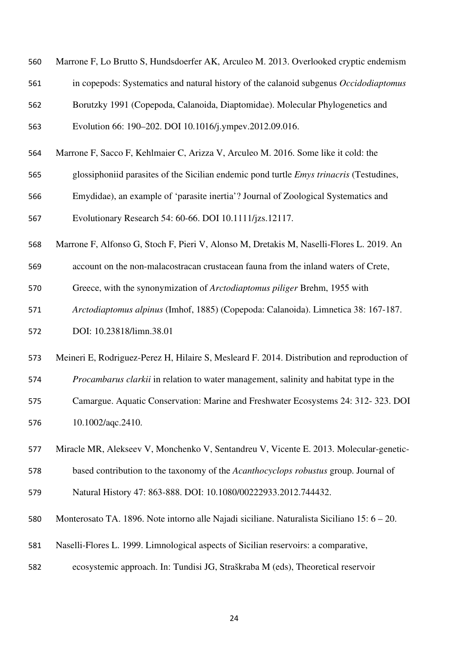- Marrone F, Lo Brutto S, Hundsdoerfer AK, Arculeo M. 2013. Overlooked cryptic endemism
- in copepods: Systematics and natural history of the calanoid subgenus *Occidodiaptomus*
- Borutzky 1991 (Copepoda, Calanoida, Diaptomidae). Molecular Phylogenetics and
- Evolution 66: 190–202. DOI 10.1016/j.ympev.2012.09.016.
- Marrone F, Sacco F, Kehlmaier C, Arizza V, Arculeo M. 2016. Some like it cold: the
- glossiphoniid parasites of the Sicilian endemic pond turtle *Emys trinacris* (Testudines,
- Emydidae), an example of 'parasite inertia'? Journal of Zoological Systematics and

Evolutionary Research 54: 60-66. DOI 10.1111/jzs.12117.

- Marrone F, Alfonso G, Stoch F, Pieri V, Alonso M, Dretakis M, Naselli-Flores L. 2019. An
- account on the non-malacostracan crustacean fauna from the inland waters of Crete,
- Greece, with the synonymization of *Arctodiaptomus piliger* Brehm, 1955 with
- *Arctodiaptomus alpinus* (Imhof, 1885) (Copepoda: Calanoida). Limnetica 38: 167-187.
- DOI: 10.23818/limn.38.01
- Meineri E, Rodriguez-Perez H, Hilaire S, Mesleard F. 2014. Distribution and reproduction of
- *Procambarus clarkii* in relation to water management, salinity and habitat type in the
- Camargue. Aquatic Conservation: Marine and Freshwater Ecosystems 24: 312- 323. DOI 10.1002/aqc.2410.
- Miracle MR, Alekseev V, Monchenko V, Sentandreu V, Vicente E. 2013. Molecular-genetic-
- based contribution to the taxonomy of the *Acanthocyclops robustus* group. Journal of
- Natural History 47: 863-888. DOI: 10.1080/00222933.2012.744432.
- Monterosato TA. 1896. Note intorno alle Najadi siciliane. Naturalista Siciliano 15: 6 20.
- Naselli-Flores L. 1999. Limnological aspects of Sicilian reservoirs: a comparative,
- ecosystemic approach. In: Tundisi JG, Straškraba M (eds), Theoretical reservoir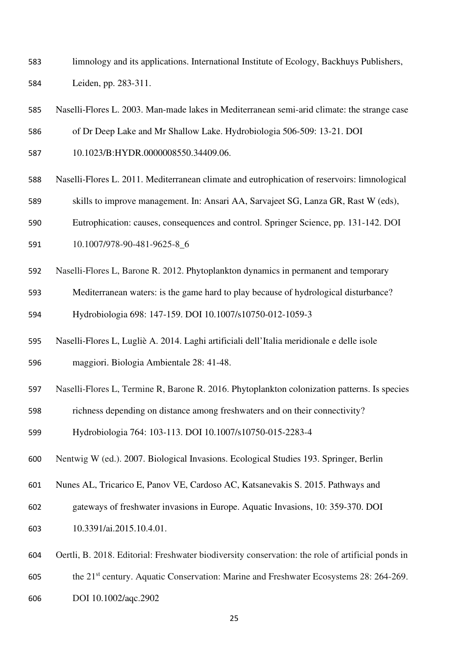- limnology and its applications. International Institute of Ecology, Backhuys Publishers, Leiden, pp. 283-311.
- Naselli-Flores L. 2003. Man-made lakes in Mediterranean semi-arid climate: the strange case
- of Dr Deep Lake and Mr Shallow Lake. Hydrobiologia 506-509: 13-21. DOI
- 10.1023/B:HYDR.0000008550.34409.06.
- Naselli-Flores L. 2011. Mediterranean climate and eutrophication of reservoirs: limnological
- skills to improve management. In: Ansari AA, Sarvajeet SG, Lanza GR, Rast W (eds),
- Eutrophication: causes, consequences and control. Springer Science, pp. 131-142. DOI
- 10.1007/978-90-481-9625-8\_6
- Naselli-Flores L, Barone R. 2012. Phytoplankton dynamics in permanent and temporary
- Mediterranean waters: is the game hard to play because of hydrological disturbance? Hydrobiologia 698: 147-159. DOI 10.1007/s10750-012-1059-3
- Naselli-Flores L, Lugliè A. 2014. Laghi artificiali dell'Italia meridionale e delle isole maggiori. Biologia Ambientale 28: 41-48.
- Naselli-Flores L, Termine R, Barone R. 2016. Phytoplankton colonization patterns. Is species
- richness depending on distance among freshwaters and on their connectivity?

Hydrobiologia 764: 103-113. DOI 10.1007/s10750-015-2283-4

- Nentwig W (ed.). 2007. Biological Invasions. Ecological Studies 193. Springer, Berlin
- Nunes AL, Tricarico E, Panov VE, Cardoso AC, Katsanevakis S. 2015. Pathways and
- gateways of freshwater invasions in Europe. Aquatic Invasions, 10: 359-370. DOI
- 10.3391/ai.2015.10.4.01.
- Oertli, B. 2018. Editorial: Freshwater biodiversity conservation: the role of artificial ponds in
- the 21<sup>st</sup> century. Aquatic Conservation: Marine and Freshwater Ecosystems 28: 264-269.
- DOI 10.1002/aqc.2902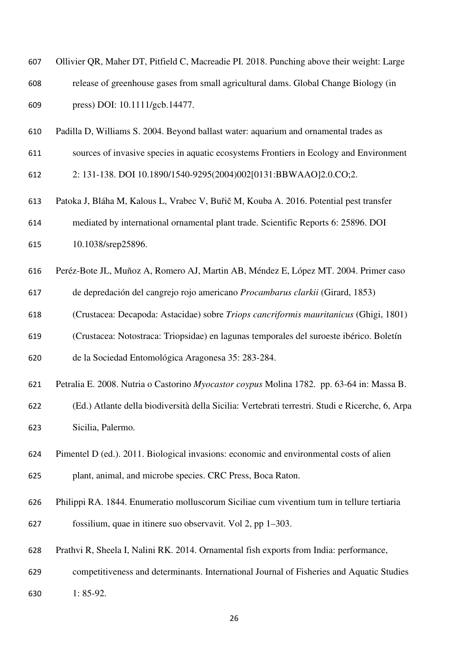| 607 | Ollivier QR, Maher DT, Pitfield C, Macreadie PI. 2018. Punching above their weight: Large |
|-----|-------------------------------------------------------------------------------------------|
| 608 | release of greenhouse gases from small agricultural dams. Global Change Biology (in       |
| 609 | press) DOI: 10.1111/gcb.14477.                                                            |
| 610 | Padilla D, Williams S. 2004. Beyond ballast water: aquarium and ornamental trades as      |
| 611 | sources of invasive species in aquatic ecosystems Frontiers in Ecology and Environment    |
| 612 | 2: 131-138. DOI 10.1890/1540-9295(2004)002[0131:BBWAAO]2.0.CO;2.                          |

- Patoka J, Bláha M, Kalous L, Vrabec V, Buřič M, Kouba A. 2016. Potential pest transfer mediated by international ornamental plant trade. Scientific Reports 6: 25896. DOI 10.1038/srep25896.
- Peréz-Bote JL, Muñoz A, Romero AJ, Martin AB, Méndez E, López MT. 2004. Primer caso
- de depredación del cangrejo rojo americano *Procambarus clarkii* (Girard, 1853)
- (Crustacea: Decapoda: Astacidae) sobre *Triops cancriformis mauritanicus* (Ghigi, 1801)
- (Crustacea: Notostraca: Triopsidae) en lagunas temporales del suroeste ibérico. Boletín

de la Sociedad Entomológica Aragonesa 35: 283-284.

- Petralia E. 2008. Nutria o Castorino *Myocastor coypus* Molina 1782. pp. 63-64 in: Massa B.
- (Ed.) Atlante della biodiversità della Sicilia: Vertebrati terrestri. Studi e Ricerche, 6, Arpa Sicilia, Palermo.
- Pimentel D (ed.). 2011. Biological invasions: economic and environmental costs of alien plant, animal, and microbe species. CRC Press, Boca Raton.
- Philippi RA. 1844. Enumeratio molluscorum Siciliae cum viventium tum in tellure tertiaria fossilium, quae in itinere suo observavit. Vol 2, pp 1–303.
- Prathvi R, Sheela I, Nalini RK. 2014. Ornamental fish exports from India: performance,
- competitiveness and determinants. International Journal of Fisheries and Aquatic Studies
- 1: 85-92.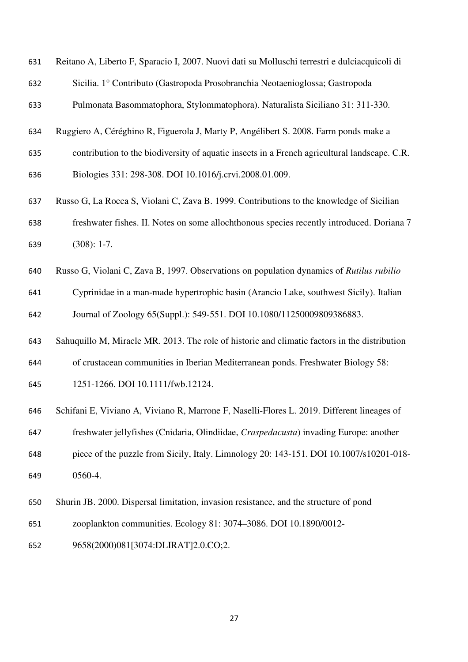|  |  |  |  |  |  |  | 631 Reitano A, Liberto F, Sparacio I, 2007. Nuovi dati su Molluschi terrestri e dulciacquicoli di |
|--|--|--|--|--|--|--|---------------------------------------------------------------------------------------------------|
|--|--|--|--|--|--|--|---------------------------------------------------------------------------------------------------|

Sicilia. 1° Contributo (Gastropoda Prosobranchia Neotaenioglossa; Gastropoda

Pulmonata Basommatophora, Stylommatophora). Naturalista Siciliano 31: 311-330.

- Ruggiero A, Céréghino R, Figuerola J, Marty P, Angélibert S. 2008. Farm ponds make a
- contribution to the biodiversity of aquatic insects in a French agricultural landscape. C.R.
- Biologies 331: 298-308. DOI 10.1016/j.crvi.2008.01.009.
- Russo G, La Rocca S, Violani C, Zava B. 1999. Contributions to the knowledge of Sicilian freshwater fishes. II. Notes on some allochthonous species recently introduced. Doriana 7 (308): 1-7.
- Russo G, Violani C, Zava B, 1997. Observations on population dynamics of *Rutilus rubilio*

Cyprinidae in a man-made hypertrophic basin (Arancio Lake, southwest Sicily). Italian Journal of Zoology 65(Suppl.): 549-551. DOI 10.1080/11250009809386883.

Sahuquillo M, Miracle MR. 2013. The role of historic and climatic factors in the distribution

of crustacean communities in Iberian Mediterranean ponds. Freshwater Biology 58:

1251-1266. DOI 10.1111/fwb.12124.

- Schifani E, Viviano A, Viviano R, Marrone F, Naselli-Flores L. 2019. Different lineages of
- freshwater jellyfishes (Cnidaria, Olindiidae, *Craspedacusta*) invading Europe: another

piece of the puzzle from Sicily, Italy. Limnology 20: 143-151. DOI 10.1007/s10201-018- 0560-4.

- Shurin JB. 2000. Dispersal limitation, invasion resistance, and the structure of pond
- zooplankton communities. Ecology 81: 3074–3086. DOI 10.1890/0012-
- 9658(2000)081[3074:DLIRAT]2.0.CO;2.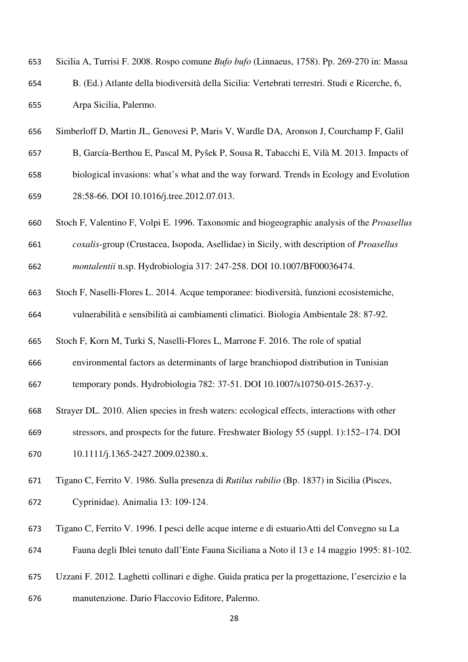| 653 | Sicilia A, Turrisi F. 2008. Rospo comune <i>Bufo bufo</i> (Linnaeus, 1758). Pp. 269-270 in: Massa |
|-----|---------------------------------------------------------------------------------------------------|
| 654 | B. (Ed.) Atlante della biodiversità della Sicilia: Vertebrati terrestri. Studi e Ricerche, 6,     |
| 655 | Arpa Sicilia, Palermo.                                                                            |

- Simberloff D, Martin JL, Genovesi P, Maris V, Wardle DA, Aronson J, Courchamp F, Galil
- B, García-Berthou E, Pascal M, Pyšek P, Sousa R, Tabacchi E, Vilà M. 2013. Impacts of
- biological invasions: what's what and the way forward. Trends in Ecology and Evolution 28:58-66. DOI 10.1016/j.tree.2012.07.013.
- Stoch F, Valentino F, Volpi E. 1996. Taxonomic and biogeographic analysis of the *Proasellus*
- *coxalis*-group (Crustacea, Isopoda, Asellidae) in Sicily, with description of *Proasellus*
- *montalentii* n.sp. Hydrobiologia 317: 247-258. DOI 10.1007/BF00036474.
- Stoch F, Naselli-Flores L. 2014. Acque temporanee: biodiversità, funzioni ecosistemiche, vulnerabilità e sensibilità ai cambiamenti climatici. Biologia Ambientale 28: 87-92.
- Stoch F, Korn M, Turki S, Naselli-Flores L, Marrone F. 2016. The role of spatial
- environmental factors as determinants of large branchiopod distribution in Tunisian
- temporary ponds. Hydrobiologia 782: 37-51. DOI 10.1007/s10750-015-2637-y.
- Strayer DL. 2010. Alien species in fresh waters: ecological effects, interactions with other
- stressors, and prospects for the future. Freshwater Biology 55 (suppl. 1):152–174. DOI
- 670 10.1111/j.1365-2427.2009.02380.x.
- Tigano C, Ferrito V. 1986. Sulla presenza di *Rutilus rubilio* (Bp. 1837) in Sicilia (Pisces, Cyprinidae). Animalia 13: 109-124.
- Tigano C, Ferrito V. 1996. I pesci delle acque interne e di estuario Atti del Convegno su La
- Fauna degli Iblei tenuto dall'Ente Fauna Siciliana a Noto il 13 e 14 maggio 1995: 81-102.
- Uzzani F. 2012. Laghetti collinari e dighe. Guida pratica per la progettazione, l'esercizio e la
- manutenzione. Dario Flaccovio Editore, Palermo.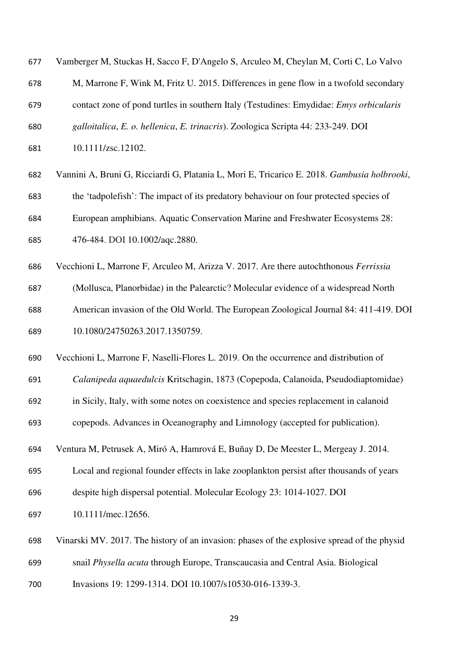| 677 | Vamberger M, Stuckas H, Sacco F, D'Angelo S, Arculeo M, Cheylan M, Corti C, Lo Valvo        |
|-----|---------------------------------------------------------------------------------------------|
| 678 | M, Marrone F, Wink M, Fritz U. 2015. Differences in gene flow in a twofold secondary        |
| 679 | contact zone of pond turtles in southern Italy (Testudines: Emydidae: Emys orbicularis      |
| 680 | galloitalica, E. o. hellenica, E. trinacris). Zoologica Scripta 44: 233-249. DOI            |
| 681 | 10.1111/zsc.12102.                                                                          |
| 682 | Vannini A, Bruni G, Ricciardi G, Platania L, Mori E, Tricarico E. 2018. Gambusia holbrooki, |
| 683 | the 'tadpolefish': The impact of its predatory behaviour on four protected species of       |
| 684 | European amphibians. Aquatic Conservation Marine and Freshwater Ecosystems 28:              |
| 685 | 476-484. DOI 10.1002/aqc.2880.                                                              |
| 686 | Vecchioni L, Marrone F, Arculeo M, Arizza V. 2017. Are there autochthonous Ferrissia        |
| 687 | (Mollusca, Planorbidae) in the Palearctic? Molecular evidence of a widespread North         |
| 688 | American invasion of the Old World. The European Zoological Journal 84: 411-419. DOI        |
| 689 | 10.1080/24750263.2017.1350759.                                                              |
| 690 | Vecchioni L, Marrone F, Naselli-Flores L. 2019. On the occurrence and distribution of       |
| 691 | Calanipeda aquaedulcis Kritschagin, 1873 (Copepoda, Calanoida, Pseudodiaptomidae)           |
| 692 | in Sicily, Italy, with some notes on coexistence and species replacement in calanoid        |
| 693 | copepods. Advances in Oceanography and Limnology (accepted for publication).                |
| 694 | Ventura M, Petrusek A, Miró A, Hamrová E, Buñay D, De Meester L, Mergeay J. 2014.           |
| 695 | Local and regional founder effects in lake zooplankton persist after thousands of years     |
| 696 | despite high dispersal potential. Molecular Ecology 23: 1014-1027. DOI                      |
| 697 | 10.1111/mec.12656.                                                                          |
| 698 | Vinarski MV. 2017. The history of an invasion: phases of the explosive spread of the physid |
| 699 | snail Physella acuta through Europe, Transcaucasia and Central Asia. Biological             |
| 700 | Invasions 19: 1299-1314. DOI 10.1007/s10530-016-1339-3.                                     |
|     |                                                                                             |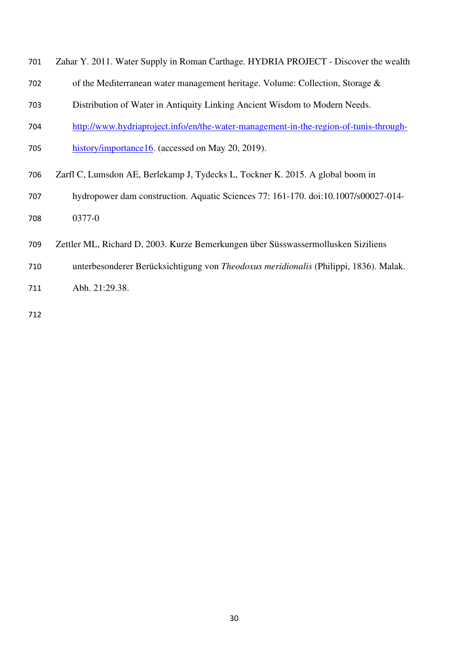- Zahar Y. 2011. Water Supply in Roman Carthage. HYDRIA PROJECT Discover the wealth
- of the Mediterranean water management heritage. Volume: Collection, Storage &
- Distribution of Water in Antiquity Linking Ancient Wisdom to Modern Needs.
- http://www.hydriaproject.info/en/the-water-management-in-the-region-of-tunis-through-
- 705 history/importance16. (accessed on May 20, 2019).
- Zarfl C, Lumsdon AE, Berlekamp J, Tydecks L, Tockner K. 2015. A global boom in
- hydropower dam construction. Aquatic Sciences 77: 161-170. doi:10.1007/s00027-014- 0377-0
- Zettler ML, Richard D, 2003. Kurze Bemerkungen über Süsswassermollusken Siziliens
- unterbesonderer Berücksichtigung von *Theodoxus meridionalis* (Philippi, 1836). Malak.
- Abh. 21:29.38.
-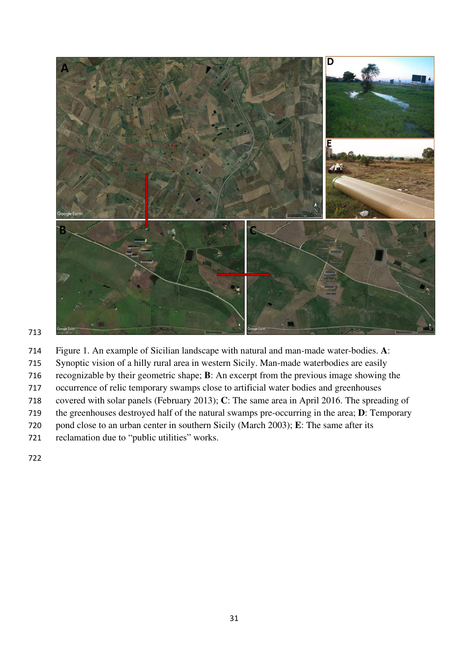

- Figure 1. An example of Sicilian landscape with natural and man-made water-bodies. **A**:
- Synoptic vision of a hilly rural area in western Sicily. Man-made waterbodies are easily
- recognizable by their geometric shape; **B**: An excerpt from the previous image showing the
- occurrence of relic temporary swamps close to artificial water bodies and greenhouses
- covered with solar panels (February 2013); **C**: The same area in April 2016. The spreading of
- the greenhouses destroyed half of the natural swamps pre-occurring in the area; **D**: Temporary
- pond close to an urban center in southern Sicily (March 2003); **E**: The same after its
- reclamation due to "public utilities" works.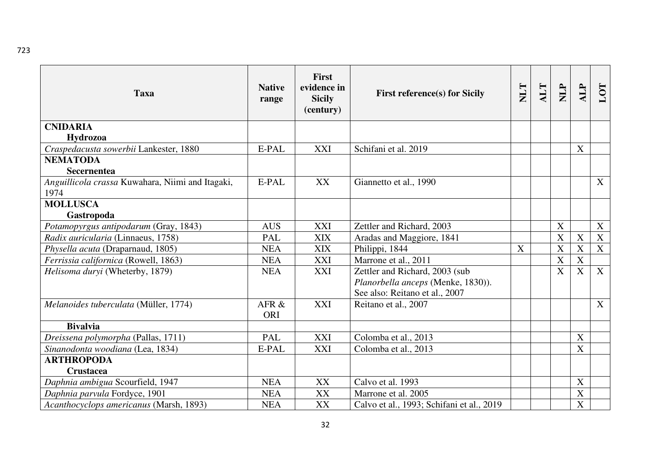| <b>Taxa</b>                                               | <b>Native</b><br>range | <b>First</b><br>evidence in<br><b>Sicily</b><br>(century) | <b>First reference(s) for Sicily</b>                                                                   | <b>TTM</b> | <b>ALT</b> | <b>NILP</b> | ALP                     | LOT |
|-----------------------------------------------------------|------------------------|-----------------------------------------------------------|--------------------------------------------------------------------------------------------------------|------------|------------|-------------|-------------------------|-----|
| <b>CNIDARIA</b>                                           |                        |                                                           |                                                                                                        |            |            |             |                         |     |
| Hydrozoa                                                  |                        |                                                           | Schifani et al. 2019                                                                                   |            |            |             | X                       |     |
| Craspedacusta sowerbii Lankester, 1880<br><b>NEMATODA</b> | E-PAL                  | <b>XXI</b>                                                |                                                                                                        |            |            |             |                         |     |
| <b>Secernentea</b>                                        |                        |                                                           |                                                                                                        |            |            |             |                         |     |
| Anguillicola crassa Kuwahara, Niimi and Itagaki,<br>1974  | E-PAL                  | XX                                                        | Giannetto et al., 1990                                                                                 |            |            |             |                         | X   |
| <b>MOLLUSCA</b>                                           |                        |                                                           |                                                                                                        |            |            |             |                         |     |
| Gastropoda                                                |                        |                                                           |                                                                                                        |            |            |             |                         |     |
| Potamopyrgus antipodarum (Gray, 1843)                     | <b>AUS</b>             | <b>XXI</b>                                                | Zettler and Richard, 2003                                                                              |            |            | X           |                         | X   |
| Radix auricularia (Linnaeus, 1758)                        | <b>PAL</b>             | <b>XIX</b>                                                | Aradas and Maggiore, 1841                                                                              |            |            | $\mathbf X$ | X                       | X   |
| Physella acuta (Draparnaud, 1805)                         | <b>NEA</b>             | <b>XIX</b>                                                | Philippi, 1844                                                                                         | X          |            | $\mathbf X$ | $\mathbf X$             | X   |
| Ferrissia californica (Rowell, 1863)                      | <b>NEA</b>             | <b>XXI</b>                                                | Marrone et al., 2011                                                                                   |            |            | $\mathbf X$ | $\overline{\mathbf{X}}$ |     |
| Helisoma duryi (Wheterby, 1879)                           | <b>NEA</b>             | XXI                                                       | Zettler and Richard, 2003 (sub<br>Planorbella anceps (Menke, 1830)).<br>See also: Reitano et al., 2007 |            |            | X           | X                       | X   |
| Melanoides tuberculata (Müller, 1774)                     | AFR &<br><b>ORI</b>    | XXI                                                       | Reitano et al., 2007                                                                                   |            |            |             |                         | X   |
| <b>Bivalvia</b>                                           |                        |                                                           |                                                                                                        |            |            |             |                         |     |
| Dreissena polymorpha (Pallas, 1711)                       | PAL                    | <b>XXI</b>                                                | Colomba et al., 2013                                                                                   |            |            |             | X                       |     |
| Sinanodonta woodiana (Lea, 1834)                          | E-PAL                  | <b>XXI</b>                                                | Colomba et al., 2013                                                                                   |            |            |             | X                       |     |
| <b>ARTHROPODA</b>                                         |                        |                                                           |                                                                                                        |            |            |             |                         |     |
| <b>Crustacea</b>                                          |                        |                                                           |                                                                                                        |            |            |             |                         |     |
| Daphnia ambigua Scourfield, 1947                          | <b>NEA</b>             | XX                                                        | Calvo et al. 1993                                                                                      |            |            |             | X                       |     |
| Daphnia parvula Fordyce, 1901                             | <b>NEA</b>             | XX                                                        | Marrone et al. 2005                                                                                    |            |            |             | $\mathbf X$             |     |
| Acanthocyclops americanus (Marsh, 1893)                   | <b>NEA</b>             | XX                                                        | Calvo et al., 1993; Schifani et al., 2019                                                              |            |            |             | X                       |     |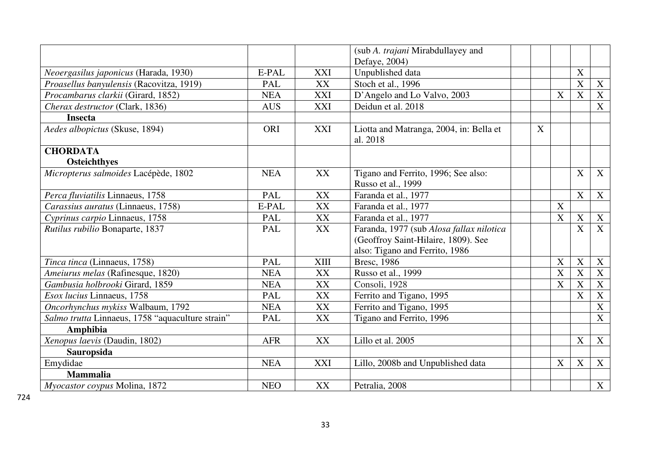|                                                  |            |             | (sub A. trajani Mirabdullayey and                   |                           |             |             |                           |
|--------------------------------------------------|------------|-------------|-----------------------------------------------------|---------------------------|-------------|-------------|---------------------------|
|                                                  |            |             | Defaye, 2004)                                       |                           |             |             |                           |
| Neoergasilus japonicus (Harada, 1930)            | E-PAL      | XXI         | Unpublished data                                    |                           |             | X           |                           |
| Proasellus banyulensis (Racovitza, 1919)         | <b>PAL</b> | XX          | Stoch et al., 1996                                  |                           |             | X           | $\boldsymbol{X}$          |
| Procambarus clarkii (Girard, 1852)               | <b>NEA</b> | <b>XXI</b>  | D'Angelo and Lo Valvo, 2003                         |                           | X           | X           | $\boldsymbol{X}$          |
| Cherax destructor (Clark, 1836)                  | <b>AUS</b> | <b>XXI</b>  | Deidun et al. 2018                                  |                           |             |             | X                         |
| <b>Insecta</b>                                   |            |             |                                                     |                           |             |             |                           |
| Aedes albopictus (Skuse, 1894)                   | ORI        | <b>XXI</b>  | Liotta and Matranga, 2004, in: Bella et<br>al. 2018 | $\boldsymbol{\mathrm{X}}$ |             |             |                           |
| <b>CHORDATA</b>                                  |            |             |                                                     |                           |             |             |                           |
| <b>Osteichthyes</b>                              |            |             |                                                     |                           |             |             |                           |
| Micropterus salmoides Lacépède, 1802             | <b>NEA</b> | XX          | Tigano and Ferrito, 1996; See also:                 |                           |             | X           | X                         |
|                                                  |            |             | Russo et al., 1999                                  |                           |             |             |                           |
| Perca fluviatilis Linnaeus, 1758                 | PAL        | XX          | Faranda et al., 1977                                |                           |             | $\mathbf X$ | X                         |
| Carassius auratus (Linnaeus, 1758)               | E-PAL      | XX          | Faranda et al., 1977                                |                           | $\mathbf X$ |             |                           |
| Cyprinus carpio Linnaeus, 1758                   | PAL        | XX          | Faranda et al., 1977                                |                           | $\mathbf X$ | X           | $\mathbf{X}$              |
| Rutilus rubilio Bonaparte, 1837                  | <b>PAL</b> | XX          | Faranda, 1977 (sub Alosa fallax nilotica            |                           |             | X           | X                         |
|                                                  |            |             | (Geoffroy Saint-Hilaire, 1809). See                 |                           |             |             |                           |
|                                                  |            |             | also: Tigano and Ferrito, 1986                      |                           |             |             |                           |
| Tinca tinca (Linnaeus, 1758)                     | PAL        | <b>XIII</b> | Bresc, 1986                                         |                           | X           | $\mathbf X$ | $\boldsymbol{\mathrm{X}}$ |
| Ameiurus melas (Rafinesque, 1820)                | <b>NEA</b> | XX          | Russo et al., 1999                                  |                           | $\mathbf X$ | X           | $\mathbf X$               |
| Gambusia holbrooki Girard, 1859                  | <b>NEA</b> | XX          | Consoli, 1928                                       |                           | X           | X           | $\boldsymbol{X}$          |
| Esox lucius Linnaeus, 1758                       | <b>PAL</b> | XX          | Ferrito and Tigano, 1995                            |                           |             | X           | $\boldsymbol{X}$          |
| Oncorhynchus mykiss Walbaum, 1792                | <b>NEA</b> | XX          | Ferrito and Tigano, 1995                            |                           |             |             | $\mathbf X$               |
| Salmo trutta Linnaeus, 1758 "aquaculture strain" | <b>PAL</b> | XX          | Tigano and Ferrito, 1996                            |                           |             |             | $\mathbf X$               |
| Amphibia                                         |            |             |                                                     |                           |             |             |                           |
| Xenopus laevis (Daudin, 1802)                    | <b>AFR</b> | XX          | Lillo et al. 2005                                   |                           |             | X           | X                         |
| Sauropsida                                       |            |             |                                                     |                           |             |             |                           |
| Emydidae                                         | <b>NEA</b> | XXI         | Lillo, 2008b and Unpublished data                   |                           | X           | X           | X                         |
| <b>Mammalia</b>                                  |            |             |                                                     |                           |             |             |                           |
| Myocastor coypus Molina, 1872                    | <b>NEO</b> | XX          | Petralia, 2008                                      |                           |             |             | X                         |